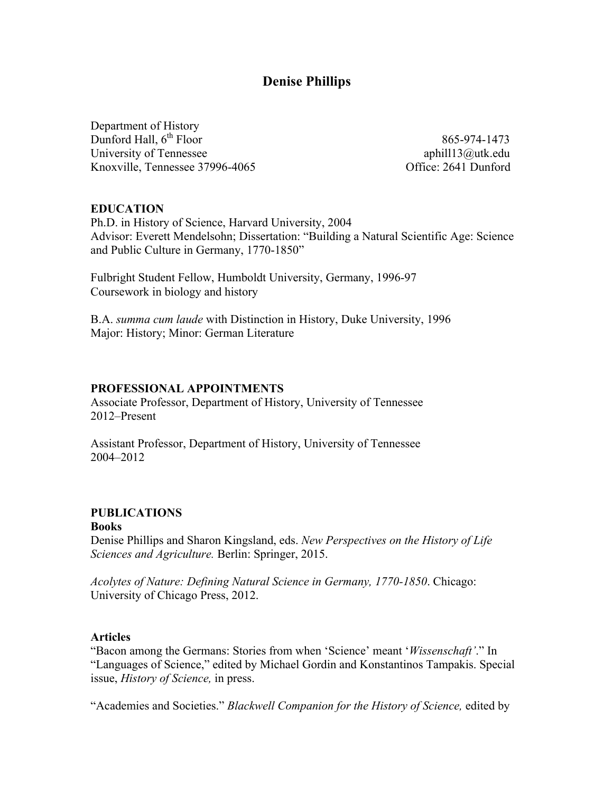# **Denise Phillips**

Department of History Dunford Hall,  $6^{th}$  Floor 865-974-1473 University of Tennessee **aphill13@utk.edu** aphill13@utk.edu Knoxville, Tennessee 37996-4065 Office: 2641 Dunford

#### **EDUCATION**

Ph.D. in History of Science, Harvard University, 2004 Advisor: Everett Mendelsohn; Dissertation: "Building a Natural Scientific Age: Science and Public Culture in Germany, 1770-1850"

Fulbright Student Fellow, Humboldt University, Germany, 1996-97 Coursework in biology and history

B.A. *summa cum laude* with Distinction in History, Duke University, 1996 Major: History; Minor: German Literature

#### **PROFESSIONAL APPOINTMENTS**

Associate Professor, Department of History, University of Tennessee 2012–Present

Assistant Professor, Department of History, University of Tennessee 2004–2012

### **PUBLICATIONS**

#### **Books**

Denise Phillips and Sharon Kingsland, eds. *New Perspectives on the History of Life Sciences and Agriculture.* Berlin: Springer, 2015.

*Acolytes of Nature: Defining Natural Science in Germany, 1770-1850*. Chicago: University of Chicago Press, 2012.

#### **Articles**

"Bacon among the Germans: Stories from when 'Science' meant '*Wissenschaft'*." In "Languages of Science," edited by Michael Gordin and Konstantinos Tampakis. Special issue, *History of Science,* in press.

"Academies and Societies." *Blackwell Companion for the History of Science,* edited by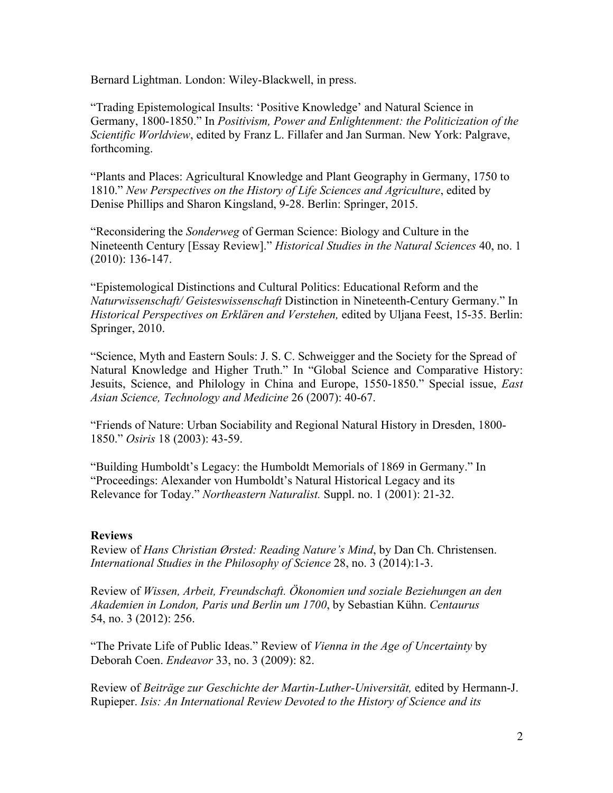Bernard Lightman. London: Wiley-Blackwell, in press.

"Trading Epistemological Insults: 'Positive Knowledge' and Natural Science in Germany, 1800-1850." In *Positivism, Power and Enlightenment: the Politicization of the Scientific Worldview*, edited by Franz L. Fillafer and Jan Surman. New York: Palgrave, forthcoming.

"Plants and Places: Agricultural Knowledge and Plant Geography in Germany, 1750 to 1810." *New Perspectives on the History of Life Sciences and Agriculture*, edited by Denise Phillips and Sharon Kingsland, 9-28. Berlin: Springer, 2015.

"Reconsidering the *Sonderweg* of German Science: Biology and Culture in the Nineteenth Century [Essay Review]." *Historical Studies in the Natural Sciences* 40, no. 1 (2010): 136-147.

"Epistemological Distinctions and Cultural Politics: Educational Reform and the *Naturwissenschaft/ Geisteswissenschaft* Distinction in Nineteenth-Century Germany." In *Historical Perspectives on Erklären and Verstehen,* edited by Uljana Feest, 15-35. Berlin: Springer, 2010.

"Science, Myth and Eastern Souls: J. S. C. Schweigger and the Society for the Spread of Natural Knowledge and Higher Truth." In "Global Science and Comparative History: Jesuits, Science, and Philology in China and Europe, 1550-1850." Special issue, *East Asian Science, Technology and Medicine* 26 (2007): 40-67.

"Friends of Nature: Urban Sociability and Regional Natural History in Dresden, 1800- 1850." *Osiris* 18 (2003): 43-59.

"Building Humboldt's Legacy: the Humboldt Memorials of 1869 in Germany." In "Proceedings: Alexander von Humboldt's Natural Historical Legacy and its Relevance for Today." *Northeastern Naturalist.* Suppl. no. 1 (2001): 21-32.

#### **Reviews**

Review of *Hans Christian Ørsted: Reading Nature's Mind*, by Dan Ch. Christensen. *International Studies in the Philosophy of Science* 28, no. 3 (2014):1-3.

Review of *Wissen, Arbeit, Freundschaft. Ökonomien und soziale Beziehungen an den Akademien in London, Paris und Berlin um 1700*, by Sebastian Kühn. *Centaurus*  54, no. 3 (2012): 256.

"The Private Life of Public Ideas." Review of *Vienna in the Age of Uncertainty* by Deborah Coen. *Endeavor* 33, no. 3 (2009): 82.

Review of *Beiträge zur Geschichte der Martin-Luther-Universität,* edited by Hermann-J. Rupieper. *Isis: An International Review Devoted to the History of Science and its*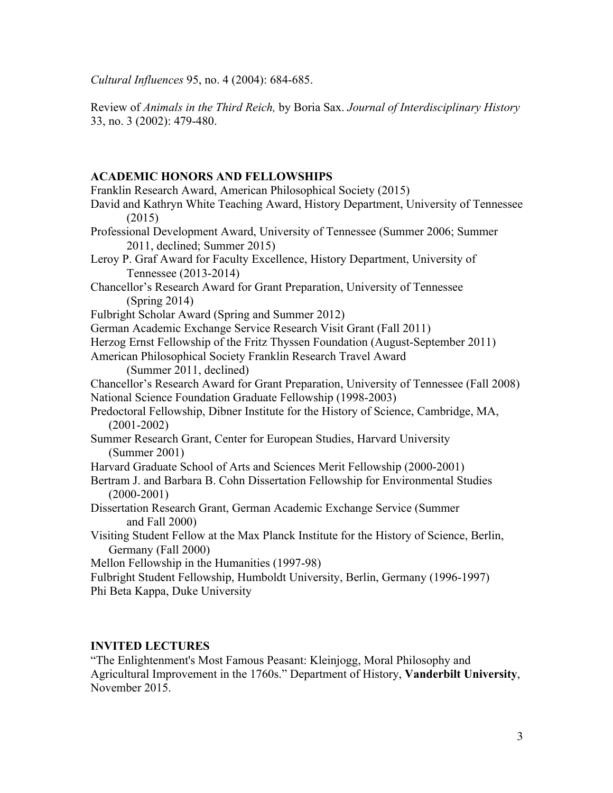*Cultural Influences* 95, no. 4 (2004): 684-685.

Review of *Animals in the Third Reich,* by Boria Sax. *Journal of Interdisciplinary History* 33, no. 3 (2002): 479-480.

### **ACADEMIC HONORS AND FELLOWSHIPS**

Franklin Research Award, American Philosophical Society (2015) David and Kathryn White Teaching Award, History Department, University of Tennessee (2015) Professional Development Award, University of Tennessee (Summer 2006; Summer 2011, declined; Summer 2015) Leroy P. Graf Award for Faculty Excellence, History Department, University of Tennessee (2013-2014) Chancellor's Research Award for Grant Preparation, University of Tennessee (Spring 2014) Fulbright Scholar Award (Spring and Summer 2012) German Academic Exchange Service Research Visit Grant (Fall 2011) Herzog Ernst Fellowship of the Fritz Thyssen Foundation (August-September 2011) American Philosophical Society Franklin Research Travel Award (Summer 2011, declined) Chancellor's Research Award for Grant Preparation, University of Tennessee (Fall 2008) National Science Foundation Graduate Fellowship (1998-2003) Predoctoral Fellowship, Dibner Institute for the History of Science, Cambridge, MA, (2001-2002) Summer Research Grant, Center for European Studies, Harvard University (Summer 2001) Harvard Graduate School of Arts and Sciences Merit Fellowship (2000-2001) Bertram J. and Barbara B. Cohn Dissertation Fellowship for Environmental Studies  $(2000-2001)$ Dissertation Research Grant, German Academic Exchange Service (Summer and Fall 2000) Visiting Student Fellow at the Max Planck Institute for the History of Science, Berlin, Germany (Fall 2000) Mellon Fellowship in the Humanities (1997-98) Fulbright Student Fellowship, Humboldt University, Berlin, Germany (1996-1997) Phi Beta Kappa, Duke University

### **INVITED LECTURES**

"The Enlightenment's Most Famous Peasant: Kleinjogg, Moral Philosophy and Agricultural Improvement in the 1760s." Department of History, **Vanderbilt University**, November 2015.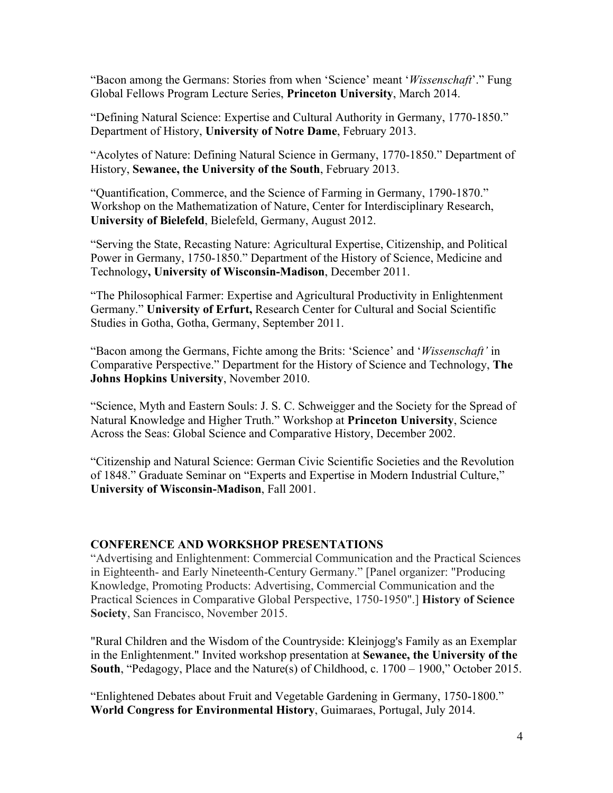"Bacon among the Germans: Stories from when 'Science' meant '*Wissenschaft*'." Fung Global Fellows Program Lecture Series, **Princeton University**, March 2014.

"Defining Natural Science: Expertise and Cultural Authority in Germany, 1770-1850." Department of History, **University of Notre Dame**, February 2013.

"Acolytes of Nature: Defining Natural Science in Germany, 1770-1850." Department of History, **Sewanee, the University of the South**, February 2013.

"Quantification, Commerce, and the Science of Farming in Germany, 1790-1870." Workshop on the Mathematization of Nature, Center for Interdisciplinary Research, **University of Bielefeld**, Bielefeld, Germany, August 2012.

"Serving the State, Recasting Nature: Agricultural Expertise, Citizenship, and Political Power in Germany, 1750-1850." Department of the History of Science, Medicine and Technology**, University of Wisconsin-Madison**, December 2011.

"The Philosophical Farmer: Expertise and Agricultural Productivity in Enlightenment Germany." **University of Erfurt,** Research Center for Cultural and Social Scientific Studies in Gotha, Gotha, Germany, September 2011.

"Bacon among the Germans, Fichte among the Brits: 'Science' and '*Wissenschaft'* in Comparative Perspective." Department for the History of Science and Technology, **The Johns Hopkins University**, November 2010.

"Science, Myth and Eastern Souls: J. S. C. Schweigger and the Society for the Spread of Natural Knowledge and Higher Truth." Workshop at **Princeton University**, Science Across the Seas: Global Science and Comparative History, December 2002.

"Citizenship and Natural Science: German Civic Scientific Societies and the Revolution of 1848." Graduate Seminar on "Experts and Expertise in Modern Industrial Culture," **University of Wisconsin-Madison**, Fall 2001.

#### **CONFERENCE AND WORKSHOP PRESENTATIONS**

"Advertising and Enlightenment: Commercial Communication and the Practical Sciences in Eighteenth- and Early Nineteenth-Century Germany." [Panel organizer: "Producing Knowledge, Promoting Products: Advertising, Commercial Communication and the Practical Sciences in Comparative Global Perspective, 1750-1950".] **History of Science Society**, San Francisco, November 2015.

"Rural Children and the Wisdom of the Countryside: Kleinjogg's Family as an Exemplar in the Enlightenment." Invited workshop presentation at **Sewanee, the University of the South**, "Pedagogy, Place and the Nature(s) of Childhood, c. 1700 – 1900," October 2015.

"Enlightened Debates about Fruit and Vegetable Gardening in Germany, 1750-1800." **World Congress for Environmental History**, Guimaraes, Portugal, July 2014.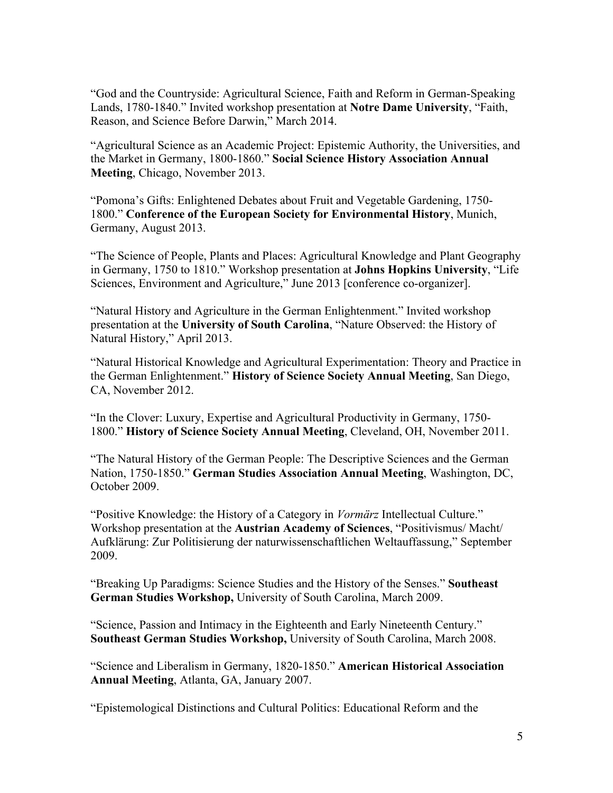"God and the Countryside: Agricultural Science, Faith and Reform in German-Speaking Lands, 1780-1840." Invited workshop presentation at **Notre Dame University**, "Faith, Reason, and Science Before Darwin," March 2014.

"Agricultural Science as an Academic Project: Epistemic Authority, the Universities, and the Market in Germany, 1800-1860." **Social Science History Association Annual Meeting**, Chicago, November 2013.

"Pomona's Gifts: Enlightened Debates about Fruit and Vegetable Gardening, 1750- 1800." **Conference of the European Society for Environmental History**, Munich, Germany, August 2013.

"The Science of People, Plants and Places: Agricultural Knowledge and Plant Geography in Germany, 1750 to 1810." Workshop presentation at **Johns Hopkins University**, "Life Sciences, Environment and Agriculture," June 2013 [conference co-organizer].

"Natural History and Agriculture in the German Enlightenment." Invited workshop presentation at the **University of South Carolina**, "Nature Observed: the History of Natural History," April 2013.

"Natural Historical Knowledge and Agricultural Experimentation: Theory and Practice in the German Enlightenment." **History of Science Society Annual Meeting**, San Diego, CA, November 2012.

"In the Clover: Luxury, Expertise and Agricultural Productivity in Germany, 1750- 1800." **History of Science Society Annual Meeting**, Cleveland, OH, November 2011.

"The Natural History of the German People: The Descriptive Sciences and the German Nation, 1750-1850." **German Studies Association Annual Meeting**, Washington, DC, October 2009.

"Positive Knowledge: the History of a Category in *Vormärz* Intellectual Culture." Workshop presentation at the **Austrian Academy of Sciences**, "Positivismus/ Macht/ Aufklärung: Zur Politisierung der naturwissenschaftlichen Weltauffassung," September 2009.

"Breaking Up Paradigms: Science Studies and the History of the Senses." **Southeast German Studies Workshop,** University of South Carolina, March 2009.

"Science, Passion and Intimacy in the Eighteenth and Early Nineteenth Century." **Southeast German Studies Workshop,** University of South Carolina, March 2008.

"Science and Liberalism in Germany, 1820-1850." **American Historical Association Annual Meeting**, Atlanta, GA, January 2007.

"Epistemological Distinctions and Cultural Politics: Educational Reform and the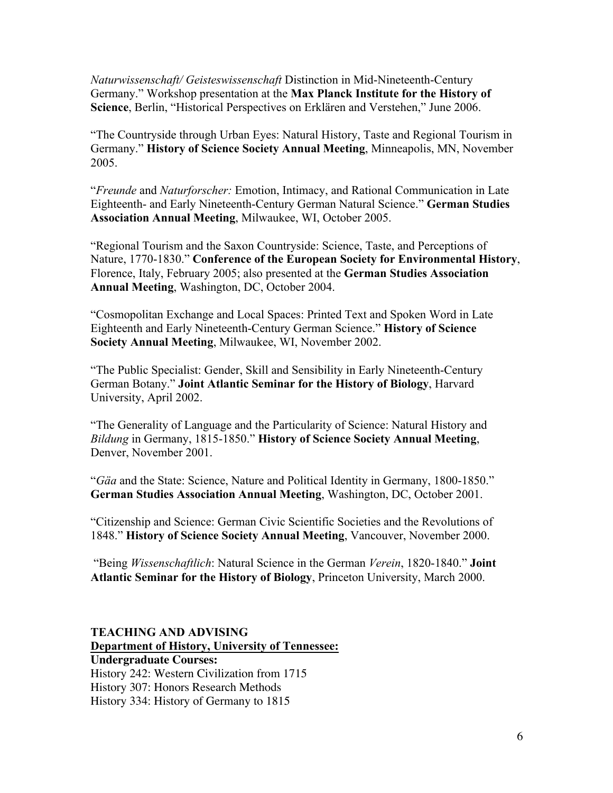*Naturwissenschaft/ Geisteswissenschaft* Distinction in Mid-Nineteenth-Century Germany." Workshop presentation at the **Max Planck Institute for the History of Science**, Berlin, "Historical Perspectives on Erklären and Verstehen," June 2006.

"The Countryside through Urban Eyes: Natural History, Taste and Regional Tourism in Germany." **History of Science Society Annual Meeting**, Minneapolis, MN, November 2005.

"*Freunde* and *Naturforscher:* Emotion, Intimacy, and Rational Communication in Late Eighteenth- and Early Nineteenth-Century German Natural Science." **German Studies Association Annual Meeting**, Milwaukee, WI, October 2005.

"Regional Tourism and the Saxon Countryside: Science, Taste, and Perceptions of Nature, 1770-1830." **Conference of the European Society for Environmental History**, Florence, Italy, February 2005; also presented at the **German Studies Association Annual Meeting**, Washington, DC, October 2004.

"Cosmopolitan Exchange and Local Spaces: Printed Text and Spoken Word in Late Eighteenth and Early Nineteenth-Century German Science." **History of Science Society Annual Meeting**, Milwaukee, WI, November 2002.

"The Public Specialist: Gender, Skill and Sensibility in Early Nineteenth-Century German Botany." **Joint Atlantic Seminar for the History of Biology**, Harvard University, April 2002.

"The Generality of Language and the Particularity of Science: Natural History and *Bildung* in Germany, 1815-1850." **History of Science Society Annual Meeting**, Denver, November 2001.

"*Gäa* and the State: Science, Nature and Political Identity in Germany, 1800-1850." **German Studies Association Annual Meeting**, Washington, DC, October 2001.

"Citizenship and Science: German Civic Scientific Societies and the Revolutions of 1848." **History of Science Society Annual Meeting**, Vancouver, November 2000.

"Being *Wissenschaftlich*: Natural Science in the German *Verein*, 1820-1840." **Joint Atlantic Seminar for the History of Biology**, Princeton University, March 2000.

**TEACHING AND ADVISING Department of History, University of Tennessee: Undergraduate Courses:**  History 242: Western Civilization from 1715 History 307: Honors Research Methods History 334: History of Germany to 1815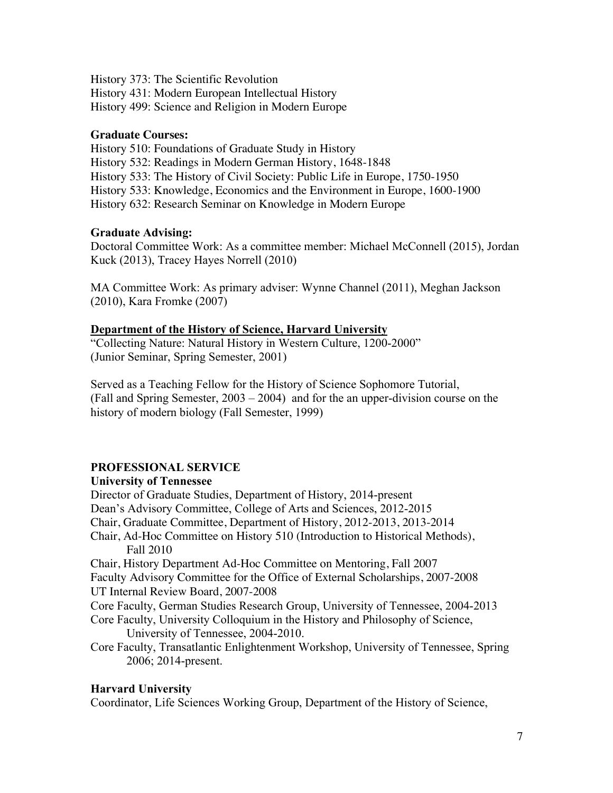History 373: The Scientific Revolution

History 431: Modern European Intellectual History

History 499: Science and Religion in Modern Europe

### **Graduate Courses:**

History 510: Foundations of Graduate Study in History History 532: Readings in Modern German History, 1648-1848 History 533: The History of Civil Society: Public Life in Europe, 1750-1950 History 533: Knowledge, Economics and the Environment in Europe, 1600-1900 History 632: Research Seminar on Knowledge in Modern Europe

## **Graduate Advising:**

Doctoral Committee Work: As a committee member: Michael McConnell (2015), Jordan Kuck (2013), Tracey Hayes Norrell (2010)

MA Committee Work: As primary adviser: Wynne Channel (2011), Meghan Jackson (2010), Kara Fromke (2007)

### **Department of the History of Science, Harvard University**

"Collecting Nature: Natural History in Western Culture, 1200-2000" (Junior Seminar, Spring Semester, 2001)

Served as a Teaching Fellow for the History of Science Sophomore Tutorial, (Fall and Spring Semester, 2003 – 2004) and for the an upper-division course on the history of modern biology (Fall Semester, 1999)

## **PROFESSIONAL SERVICE**

## **University of Tennessee**

Director of Graduate Studies, Department of History, 2014-present Dean's Advisory Committee, College of Arts and Sciences, 2012-2015 Chair, Graduate Committee, Department of History, 2012-2013, 2013-2014 Chair, Ad-Hoc Committee on History 510 (Introduction to Historical Methods), Fall 2010 Chair, History Department Ad-Hoc Committee on Mentoring, Fall 2007 Faculty Advisory Committee for the Office of External Scholarships, 2007-2008 UT Internal Review Board, 2007-2008 Core Faculty, German Studies Research Group, University of Tennessee, 2004-2013 Core Faculty, University Colloquium in the History and Philosophy of Science, University of Tennessee, 2004-2010. Core Faculty, Transatlantic Enlightenment Workshop, University of Tennessee, Spring 2006; 2014-present.

## **Harvard University**

Coordinator, Life Sciences Working Group, Department of the History of Science,